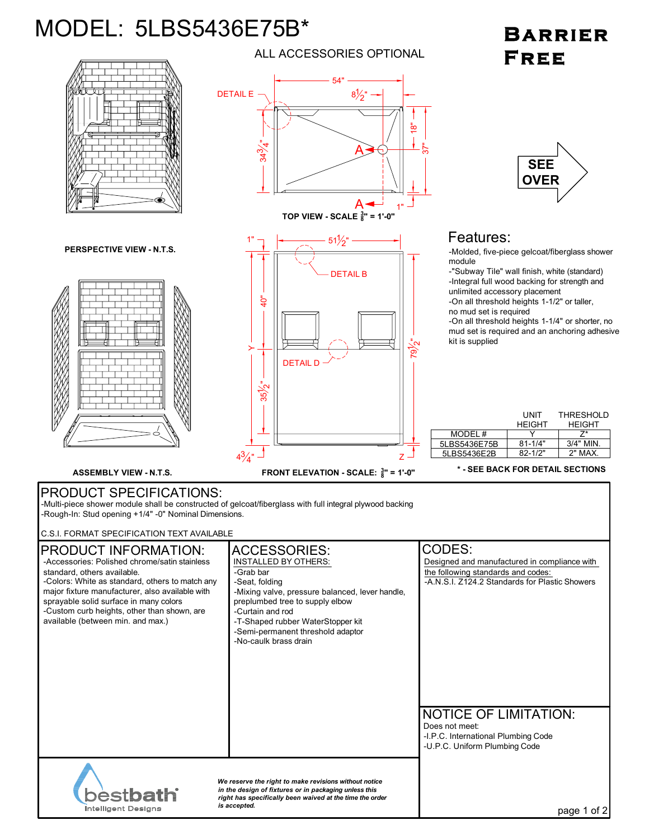## MODEL: 5LBS5436E75B\*

## BARRIER FREE



ALL ACCESSORIES OPTIONAL